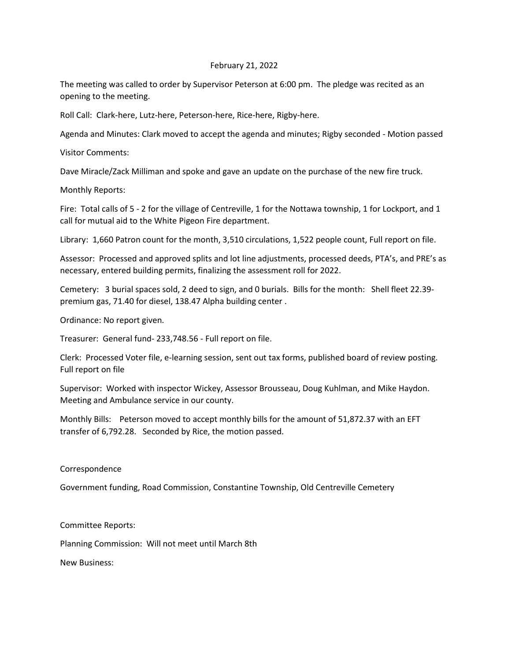## February 21, 2022

The meeting was called to order by Supervisor Peterson at 6:00 pm. The pledge was recited as an opening to the meeting.

Roll Call: Clark-here, Lutz-here, Peterson-here, Rice-here, Rigby-here.

Agenda and Minutes: Clark moved to accept the agenda and minutes; Rigby seconded - Motion passed

Visitor Comments:

Dave Miracle/Zack Milliman and spoke and gave an update on the purchase of the new fire truck.

Monthly Reports:

Fire: Total calls of 5 - 2 for the village of Centreville, 1 for the Nottawa township, 1 for Lockport, and 1 call for mutual aid to the White Pigeon Fire department.

Library: 1,660 Patron count for the month, 3,510 circulations, 1,522 people count, Full report on file.

Assessor: Processed and approved splits and lot line adjustments, processed deeds, PTA's, and PRE's as necessary, entered building permits, finalizing the assessment roll for 2022.

Cemetery: 3 burial spaces sold, 2 deed to sign, and 0 burials. Bills for the month: Shell fleet 22.39 premium gas, 71.40 for diesel, 138.47 Alpha building center .

Ordinance: No report given.

Treasurer: General fund- 233,748.56 - Full report on file.

Clerk: Processed Voter file, e-learning session, sent out tax forms, published board of review posting. Full report on file

Supervisor: Worked with inspector Wickey, Assessor Brousseau, Doug Kuhlman, and Mike Haydon. Meeting and Ambulance service in our county.

Monthly Bills: Peterson moved to accept monthly bills for the amount of 51,872.37 with an EFT transfer of 6,792.28. Seconded by Rice, the motion passed.

## Correspondence

Government funding, Road Commission, Constantine Township, Old Centreville Cemetery

Committee Reports:

Planning Commission: Will not meet until March 8th

New Business: